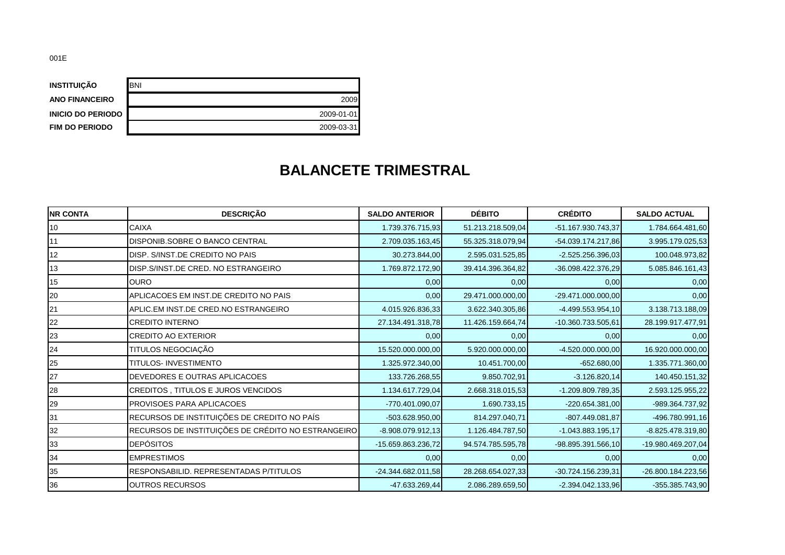| <b>INSTITUICÃO</b>       | <b>BNI</b> |
|--------------------------|------------|
| <b>ANO FINANCEIRO</b>    | 2009       |
| <b>INICIO DO PERIODO</b> | 2009-01-01 |
| <b>FIM DO PERIODO</b>    | 2009-03-31 |

## **BALANCETE TRIMESTRAL**

| <b>NR CONTA</b> | <b>DESCRIÇÃO</b>                                   | <b>SALDO ANTERIOR</b> | <b>DÉBITO</b>     | <b>CRÉDITO</b>       | <b>SALDO ACTUAL</b> |
|-----------------|----------------------------------------------------|-----------------------|-------------------|----------------------|---------------------|
| 10              | <b>CAIXA</b>                                       | 1.739.376.715,93      | 51.213.218.509,04 | -51.167.930.743,37   | 1.784.664.481,60    |
| 11              | <b>DISPONIB.SOBRE O BANCO CENTRAL</b>              | 2.709.035.163,45      | 55.325.318.079.94 | $-54.039.174.217.86$ | 3.995.179.025,53    |
| 12              | DISP. S/INST.DE CREDITO NO PAIS                    | 30.273.844,00         | 2.595.031.525,85  | $-2.525.256.396.03$  | 100.048.973,82      |
| 13              | DISP.S/INST.DE CRED. NO ESTRANGEIRO                | 1.769.872.172,90      | 39.414.396.364,82 | $-36.098.422.376.29$ | 5.085.846.161,43    |
| 15              | <b>I</b> OURO                                      | 0,00                  | 0,00              | 0,00                 | 0,00                |
| 20              | APLICACOES EM INST.DE CREDITO NO PAIS              | 0,00                  | 29.471.000.000,00 | $-29.471.000.000,00$ | 0,00                |
| 21              | APLIC.EM INST.DE CRED.NO ESTRANGEIRO               | 4.015.926.836,33      | 3.622.340.305,86  | -4.499.553.954,10    | 3.138.713.188,09    |
| 22              | <b>CREDITO INTERNO</b>                             | 27.134.491.318,78     | 11.426.159.664,74 | -10.360.733.505,61   | 28.199.917.477,91   |
| 23              | <b>CREDITO AO EXTERIOR</b>                         | 0,00                  | 0,00              | 0,00                 | 0,00                |
| 24              | TITULOS NEGOCIAÇÃO                                 | 15.520.000.000,00     | 5.920.000.000,00  | $-4.520.000.000,00$  | 16.920.000.000,00   |
| 25              | <b>TITULOS- INVESTIMENTO</b>                       | 1.325.972.340,00      | 10.451.700,00     | $-652.680,00$        | 1.335.771.360,00    |
| 27              | DEVEDORES E OUTRAS APLICACOES                      | 133.726.268,55        | 9.850.702,91      | $-3.126.820,14$      | 140.450.151,32      |
| 28              | CREDITOS, TITULOS E JUROS VENCIDOS                 | 1.134.617.729,04      | 2.668.318.015,53  | $-1.209.809.789.35$  | 2.593.125.955,22    |
| 29              | <b>PROVISOES PARA APLICACOES</b>                   | -770.401.090,07       | 1.690.733,15      | $-220.654.381.00$    | -989.364.737,92     |
| 31              | RECURSOS DE INSTITUIÇÕES DE CREDITO NO PAÍS        | $-503.628.950,00$     | 814.297.040,71    | -807.449.081,87      | -496.780.991,16     |
| 32              | RECURSOS DE INSTITUIÇÕES DE CRÉDITO NO ESTRANGEIRO | $-8.908.079.912,13$   | 1.126.484.787,50  | $-1.043.883.195,17$  | $-8.825.478.319,80$ |
| 33              | <b>DEPÓSITOS</b>                                   | -15.659.863.236,72    | 94.574.785.595,78 | -98.895.391.566,10   | -19.980.469.207,04  |
| 34              | <b>IEMPRESTIMOS</b>                                | 0,00                  | 0,00              | 0,00                 | 0,00                |
| 35              | <b>RESPONSABILID, REPRESENTADAS P/TITULOS</b>      | $-24.344.682.011,58$  | 28.268.654.027,33 | -30.724.156.239,31   | -26.800.184.223,56  |
| 36              | OUTROS RECURSOS                                    | $-47.633.269,44$      | 2.086.289.659,50  | $-2.394.042.133.96$  | $-355.385.743,90$   |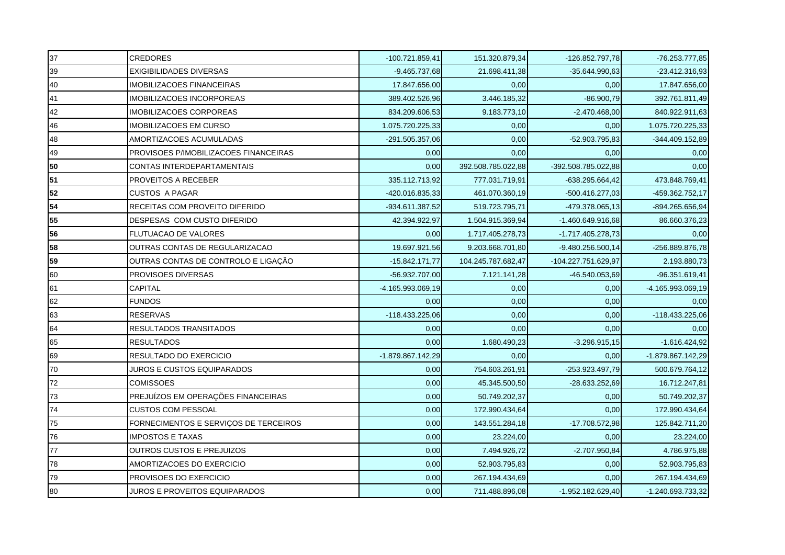| 37 | <b>CREDORES</b>                       | -100.721.859,41   | 151.320.879,34     | $-126.852.797,78$   | $-76.253.777,85$    |
|----|---------------------------------------|-------------------|--------------------|---------------------|---------------------|
| 39 | <b>EXIGIBILIDADES DIVERSAS</b>        | $-9.465.737.68$   | 21.698.411,38      | -35.644.990,63      | $-23.412.316,93$    |
| 40 | <b>IMOBILIZACOES FINANCEIRAS</b>      | 17.847.656,00     | 0,00               | 0,00                | 17.847.656,00       |
| 41 | <b>IMOBILIZACOES INCORPOREAS</b>      | 389.402.526,96    | 3.446.185,32       | $-86.900,79$        | 392.761.811,49      |
| 42 | <b>IMOBILIZACOES CORPOREAS</b>        | 834.209.606,53    | 9.183.773,10       | $-2.470.468,00$     | 840.922.911,63      |
| 46 | <b>IMOBILIZACOES EM CURSO</b>         | 1.075.720.225,33  | 0,00               | 0,00                | 1.075.720.225,33    |
| 48 | AMORTIZACOES ACUMULADAS               | -291.505.357,06   | 0,00               | -52.903.795,83      | -344.409.152,89     |
| 49 | PROVISOES P/IMOBILIZACOES FINANCEIRAS | 0,00              | 0,00               | 0,00                | 0,00                |
| 50 | CONTAS INTERDEPARTAMENTAIS            | 0,00              | 392.508.785.022,88 | -392.508.785.022,88 | 0,00                |
| 51 | PROVEITOS A RECEBER                   | 335.112.713,92    | 777.031.719,91     | $-638.295.664,42$   | 473.848.769,41      |
| 52 | <b>CUSTOS A PAGAR</b>                 | -420.016.835,33   | 461.070.360,19     | $-500.416.277,03$   | -459.362.752,17     |
| 54 | RECEITAS COM PROVEITO DIFERIDO        | -934.611.387,52   | 519.723.795,71     | -479.378.065,13     | -894.265.656,94     |
| 55 | DESPESAS COM CUSTO DIFERIDO           | 42.394.922,97     | 1.504.915.369,94   | $-1.460.649.916.68$ | 86.660.376,23       |
| 56 | <b>FLUTUACAO DE VALORES</b>           | 0,00              | 1.717.405.278.73   | $-1.717.405.278.73$ | 0,00                |
| 58 | OUTRAS CONTAS DE REGULARIZACAO        | 19.697.921,56     | 9.203.668.701,80   | $-9.480.256.500,14$ | -256.889.876,78     |
| 59 | OUTRAS CONTAS DE CONTROLO E LIGAÇÃO   | $-15.842.171,77$  | 104.245.787.682,47 | -104.227.751.629,97 | 2.193.880,73        |
| 60 | PROVISOES DIVERSAS                    | -56.932.707,00    | 7.121.141,28       | -46.540.053,69      | -96.351.619,41      |
| 61 | CAPITAL                               | -4.165.993.069,19 | 0,00               | 0,00                | -4.165.993.069,19   |
| 62 | <b>FUNDOS</b>                         | 0,00              | 0,00               | 0,00                | 0,00                |
| 63 | <b>RESERVAS</b>                       | -118.433.225,06   | 0,00               | 0,00                | -118.433.225,06     |
| 64 | RESULTADOS TRANSITADOS                | 0,00              | 0,00               | 0,00                | 0,00                |
| 65 | <b>RESULTADOS</b>                     | 0,00              | 1.680.490,23       | $-3.296.915,15$     | $-1.616.424,92$     |
| 69 | RESULTADO DO EXERCICIO                | -1.879.867.142,29 | 0,00               | 0,00                | -1.879.867.142,29   |
| 70 | JUROS E CUSTOS EQUIPARADOS            | 0,00              | 754.603.261,91     | $-253.923.497,79$   | 500.679.764,12      |
| 72 | <b>COMISSOES</b>                      | 0,00              | 45.345.500,50      | -28.633.252,69      | 16.712.247,81       |
| 73 | PREJUÍZOS EM OPERAÇÕES FINANCEIRAS    | 0,00              | 50.749.202,37      | 0,00                | 50.749.202,37       |
| 74 | <b>CUSTOS COM PESSOAL</b>             | 0,00              | 172.990.434,64     | 0,00                | 172.990.434,64      |
| 75 | FORNECIMENTOS E SERVIÇOS DE TERCEIROS | 0,00              | 143.551.284,18     | $-17.708.572,98$    | 125.842.711,20      |
| 76 | <b>IMPOSTOS E TAXAS</b>               | 0,00              | 23.224,00          | 0,00                | 23.224,00           |
| 77 | <b>OUTROS CUSTOS E PREJUIZOS</b>      | 0,00              | 7.494.926,72       | $-2.707.950,84$     | 4.786.975,88        |
| 78 | AMORTIZACOES DO EXERCICIO             | 0,00              | 52.903.795,83      | 0,00                | 52.903.795,83       |
| 79 | PROVISOES DO EXERCICIO                | 0,00              | 267.194.434,69     | 0,00                | 267.194.434,69      |
| 80 | JUROS E PROVEITOS EQUIPARADOS         | 0,00              | 711.488.896,08     | $-1.952.182.629.40$ | $-1.240.693.733,32$ |